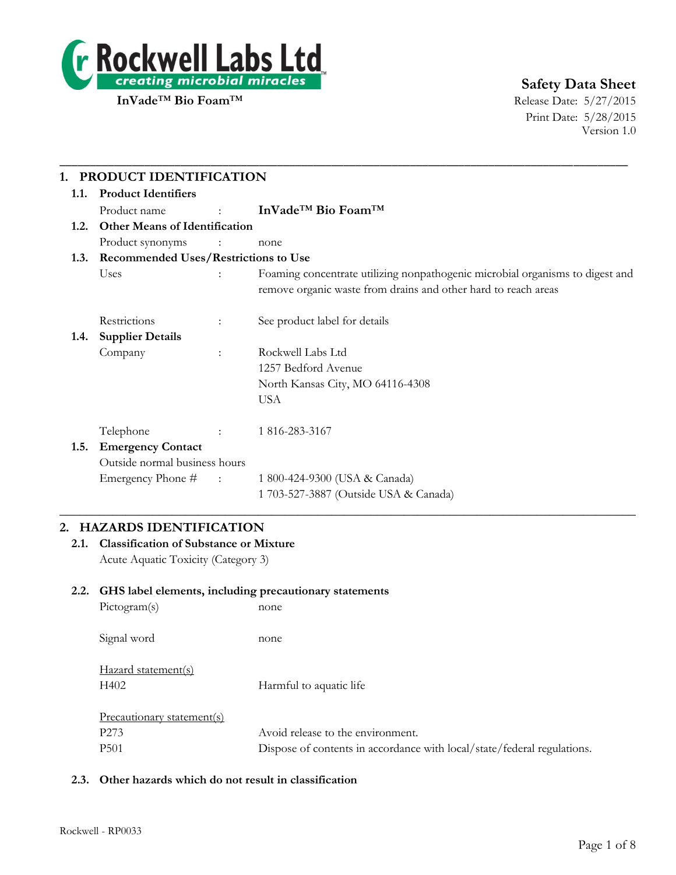

Print Date: 5/28/2015 Version 1.0

| 1.                                        | PRODUCT IDENTIFICATION               |                          |                                                                                                                                                 |  |  |
|-------------------------------------------|--------------------------------------|--------------------------|-------------------------------------------------------------------------------------------------------------------------------------------------|--|--|
| 1.1.                                      | <b>Product Identifiers</b>           |                          |                                                                                                                                                 |  |  |
|                                           | Product name                         | <b>Service State</b>     | InVade <sup>TM</sup> Bio Foam <sup>TM</sup>                                                                                                     |  |  |
| 1.2.                                      | <b>Other Means of Identification</b> |                          |                                                                                                                                                 |  |  |
|                                           | Product synonyms                     | $\sim 100$ M             | none                                                                                                                                            |  |  |
| 1.3. Recommended Uses/Restrictions to Use |                                      |                          |                                                                                                                                                 |  |  |
|                                           | Uses                                 |                          | Foaming concentrate utilizing nonpathogenic microbial organisms to digest and<br>remove organic waste from drains and other hard to reach areas |  |  |
|                                           | Restrictions                         | ÷                        | See product label for details                                                                                                                   |  |  |
| 1.4.                                      | <b>Supplier Details</b>              |                          |                                                                                                                                                 |  |  |
|                                           | Company                              | ÷                        | Rockwell Labs Ltd                                                                                                                               |  |  |
|                                           |                                      |                          | 1257 Bedford Avenue                                                                                                                             |  |  |
|                                           |                                      |                          | North Kansas City, MO 64116-4308                                                                                                                |  |  |
|                                           |                                      |                          | <b>USA</b>                                                                                                                                      |  |  |
|                                           | Telephone                            |                          | 1 816-283-3167                                                                                                                                  |  |  |
| 1.5.                                      | <b>Emergency Contact</b>             |                          |                                                                                                                                                 |  |  |
|                                           | Outside normal business hours        |                          |                                                                                                                                                 |  |  |
|                                           | Emergency Phone #                    | $\sim 1000$ km s $^{-1}$ | 1 800-424-9300 (USA & Canada)                                                                                                                   |  |  |
|                                           |                                      |                          | 1 703-527-3887 (Outside USA & Canada)                                                                                                           |  |  |

# **2. HAZARDS IDENTIFICATION**

**2.1. Classification of Substance or Mixture** Acute Aquatic Toxicity (Category 3)

### **2.2. GHS label elements, including precautionary statements**

| Pictogram(s)                | none                                                                    |
|-----------------------------|-------------------------------------------------------------------------|
| Signal word                 | none                                                                    |
| Hazard statement(s)<br>H402 | Harmful to aquatic life                                                 |
| Precautionary statement(s)  |                                                                         |
| P <sub>273</sub>            | Avoid release to the environment.                                       |
| P <sub>501</sub>            | Dispose of contents in accordance with local/state/federal regulations. |

### **2.3. Other hazards which do not result in classification**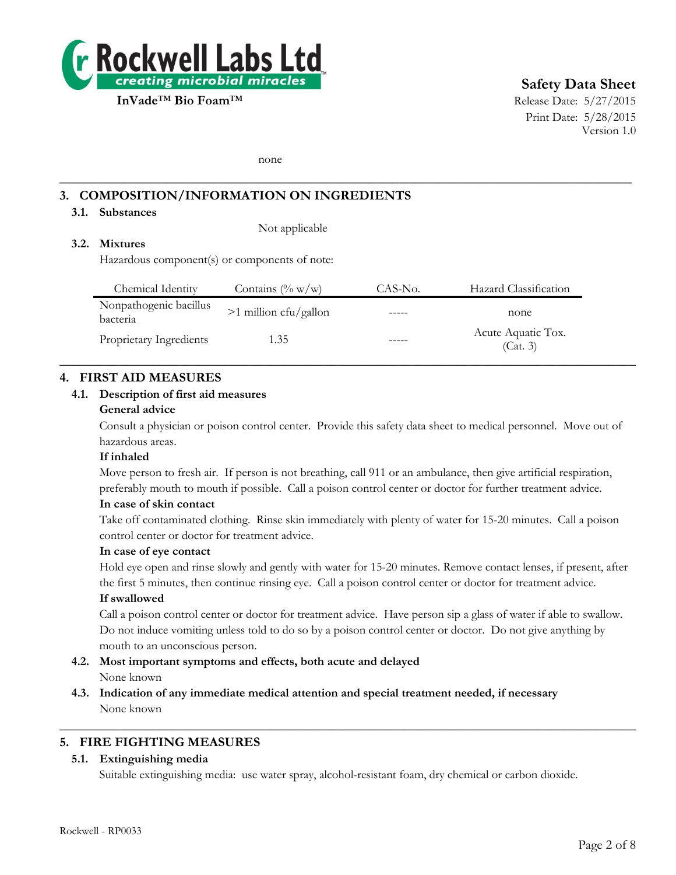

# **Safety Data Sheet**

Print Date: 5/28/2015 Version 1.0

none

# **3. COMPOSITION/INFORMATION ON INGREDIENTS**

### **3.1. Substances**

Not applicable

# **3.2. Mixtures**

Hazardous component(s) or components of note:

| Chemical Identity                  | Contains $(\% w/w)$     | CAS-No. | Hazard Classification          |
|------------------------------------|-------------------------|---------|--------------------------------|
| Nonpathogenic bacillus<br>bacteria | $>1$ million cfu/gallon | -----   | none                           |
| Proprietary Ingredients            | 1.35                    |         | Acute Aquatic Tox.<br>(Cat. 3) |
|                                    |                         |         |                                |

**\_\_\_\_\_\_\_\_\_\_\_\_\_\_\_\_\_\_\_\_\_\_\_\_\_\_\_\_\_\_\_\_\_\_\_\_\_\_\_\_\_\_\_\_\_\_\_\_\_\_\_\_\_\_\_\_\_\_\_\_\_\_\_\_\_\_\_\_\_\_\_\_\_\_**

#### **4. FIRST AID MEASURES**

#### **4.1. Description of first aid measures**

#### **General advice**

Consult a physician or poison control center. Provide this safety data sheet to medical personnel. Move out of hazardous areas.

#### **If inhaled**

Move person to fresh air. If person is not breathing, call 911 or an ambulance, then give artificial respiration, preferably mouth to mouth if possible. Call a poison control center or doctor for further treatment advice.

#### **In case of skin contact**

Take off contaminated clothing. Rinse skin immediately with plenty of water for 15-20 minutes. Call a poison control center or doctor for treatment advice.

#### **In case of eye contact**

Hold eye open and rinse slowly and gently with water for 15-20 minutes. Remove contact lenses, if present, after the first 5 minutes, then continue rinsing eye. Call a poison control center or doctor for treatment advice.

#### **If swallowed**

Call a poison control center or doctor for treatment advice. Have person sip a glass of water if able to swallow. Do not induce vomiting unless told to do so by a poison control center or doctor. Do not give anything by mouth to an unconscious person.

- **4.2. Most important symptoms and effects, both acute and delayed** None known
- **4.3. Indication of any immediate medical attention and special treatment needed, if necessary** None known

### **5. FIRE FIGHTING MEASURES**

#### **5.1. Extinguishing media**

Suitable extinguishing media: use water spray, alcohol-resistant foam, dry chemical or carbon dioxide.

 $\_$  , and the set of the set of the set of the set of the set of the set of the set of the set of the set of the set of the set of the set of the set of the set of the set of the set of the set of the set of the set of th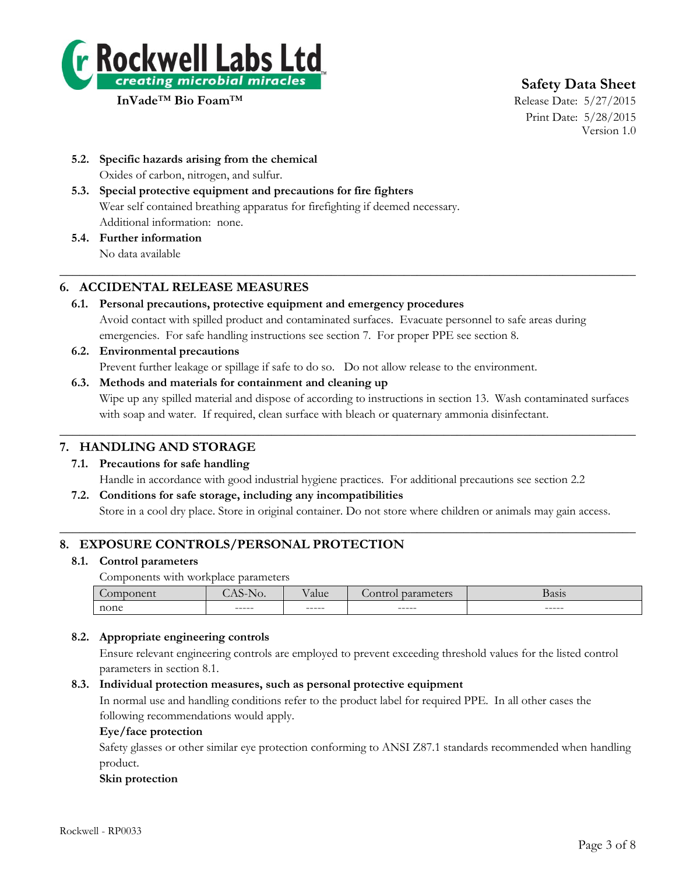

# **Safety Data Sheet**

Print Date: 5/28/2015 Version 1.0

- **5.2. Specific hazards arising from the chemical** Oxides of carbon, nitrogen, and sulfur.
- **5.3. Special protective equipment and precautions for fire fighters** Wear self contained breathing apparatus for firefighting if deemed necessary. Additional information: none.
- **5.4. Further information** No data available

# **6. ACCIDENTAL RELEASE MEASURES**

**6.1. Personal precautions, protective equipment and emergency procedures** Avoid contact with spilled product and contaminated surfaces. Evacuate personnel to safe areas during emergencies. For safe handling instructions see section 7. For proper PPE see section 8.

 $\_$  , and the set of the set of the set of the set of the set of the set of the set of the set of the set of the set of the set of the set of the set of the set of the set of the set of the set of the set of the set of th

- **6.2. Environmental precautions** Prevent further leakage or spillage if safe to do so. Do not allow release to the environment.
- **6.3. Methods and materials for containment and cleaning up** Wipe up any spilled material and dispose of according to instructions in section 13. Wash contaminated surfaces with soap and water. If required, clean surface with bleach or quaternary ammonia disinfectant.

 $\_$  , and the set of the set of the set of the set of the set of the set of the set of the set of the set of the set of the set of the set of the set of the set of the set of the set of the set of the set of the set of th

# **7. HANDLING AND STORAGE**

- **7.1. Precautions for safe handling** Handle in accordance with good industrial hygiene practices. For additional precautions see section 2.2 **7.2. Conditions for safe storage, including any incompatibilities**
- Store in a cool dry place. Store in original container. Do not store where children or animals may gain access.  $\_$  , and the set of the set of the set of the set of the set of the set of the set of the set of the set of the set of the set of the set of the set of the set of the set of the set of the set of the set of the set of th

# **8. EXPOSURE CONTROLS/PERSONAL PROTECTION**

### **8.1. Control parameters**

Components with workplace parameters

|      | $ -$<br>NO. | --<br>alue | -<br>$+0.48$<br>$\omega$ <sup>or</sup> | 010<br>рамм |
|------|-------------|------------|----------------------------------------|-------------|
| none | ------      | ------     | ------                                 | ------      |

### **8.2. Appropriate engineering controls**

Ensure relevant engineering controls are employed to prevent exceeding threshold values for the listed control parameters in section 8.1.

#### **8.3. Individual protection measures, such as personal protective equipment**

In normal use and handling conditions refer to the product label for required PPE. In all other cases the following recommendations would apply.

#### **Eye/face protection**

Safety glasses or other similar eye protection conforming to ANSI Z87.1 standards recommended when handling product.

#### **Skin protection**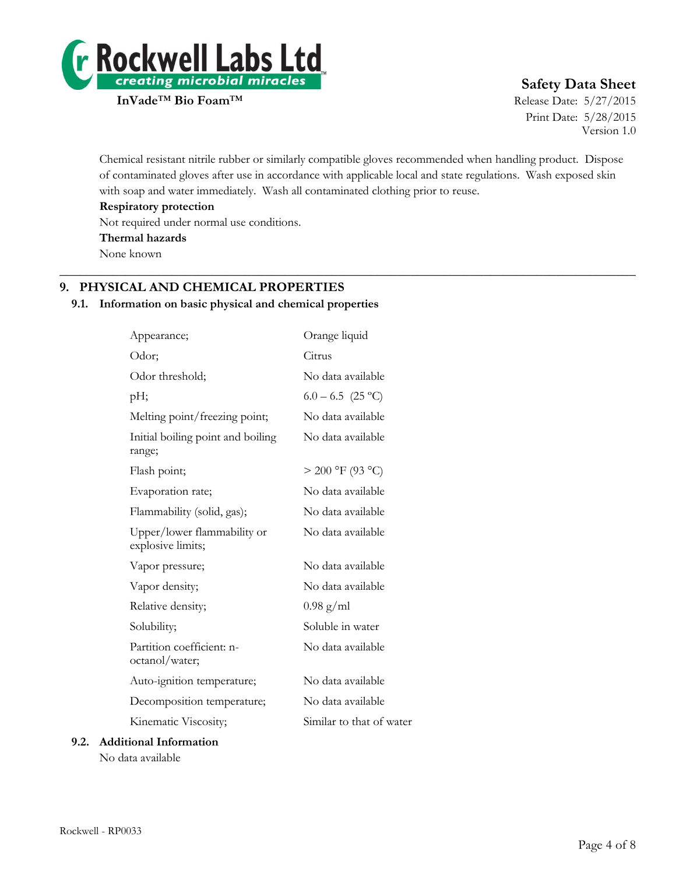

# **Safety Data Sheet**

Print Date: 5/28/2015 Version 1.0

Chemical resistant nitrile rubber or similarly compatible gloves recommended when handling product. Dispose of contaminated gloves after use in accordance with applicable local and state regulations. Wash exposed skin with soap and water immediately. Wash all contaminated clothing prior to reuse.

 $\_$  , and the set of the set of the set of the set of the set of the set of the set of the set of the set of the set of the set of the set of the set of the set of the set of the set of the set of the set of the set of th

**Respiratory protection**

Not required under normal use conditions.

**Thermal hazards**

None known

# **9. PHYSICAL AND CHEMICAL PROPERTIES**

#### **9.1. Information on basic physical and chemical properties**

| Appearance;                                      | Orange liquid            |
|--------------------------------------------------|--------------------------|
| Odor;                                            | Citrus                   |
| Odor threshold;                                  | No data available        |
| pН;                                              | $6.0 - 6.5$ (25 °C)      |
| Melting point/freezing point;                    | No data available        |
| Initial boiling point and boiling<br>range;      | No data available        |
| Flash point;                                     | $> 200$ °F (93 °C)       |
| Evaporation rate;                                | No data available        |
| Flammability (solid, gas);                       | No data available        |
| Upper/lower flammability or<br>explosive limits; | No data available        |
| Vapor pressure;                                  | No data available        |
| Vapor density;                                   | No data available        |
| Relative density;                                | $0.98 \text{ g/ml}$      |
| Solubility;                                      | Soluble in water         |
| Partition coefficient: n-<br>octanol/water;      | No data available        |
| Auto-ignition temperature;                       | No data available        |
| Decomposition temperature;                       | No data available        |
| Kinematic Viscosity;                             | Similar to that of water |
| ional Information                                |                          |

## **9.2. Additional Information** No data available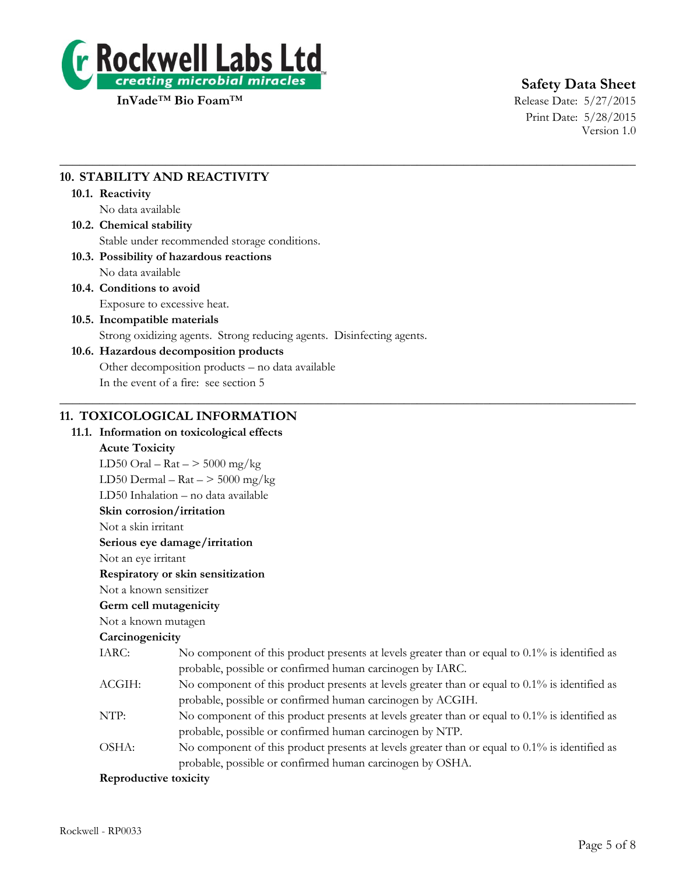

# **Safety Data Sheet**

Print Date: 5/28/2015 Version 1.0

# **10. STABILITY AND REACTIVITY**

#### **10.1. Reactivity**

No data available

# **10.2. Chemical stability** Stable under recommended storage conditions.

#### **10.3. Possibility of hazardous reactions** No data available

**10.4. Conditions to avoid**

Exposure to excessive heat.

## **10.5. Incompatible materials**

Strong oxidizing agents. Strong reducing agents. Disinfecting agents.

 $\_$  , and the set of the set of the set of the set of the set of the set of the set of the set of the set of the set of the set of the set of the set of the set of the set of the set of the set of the set of the set of th

 $\_$  , and the set of the set of the set of the set of the set of the set of the set of the set of the set of the set of the set of the set of the set of the set of the set of the set of the set of the set of the set of th

## **10.6. Hazardous decomposition products**

Other decomposition products – no data available

In the event of a fire: see section 5

# **11. TOXICOLOGICAL INFORMATION**

## **11.1. Information on toxicological effects**

### **Acute Toxicity**

LD50 Oral –  $\text{Rat}$  –  $>$  5000 mg/kg LD50 Dermal –  $\text{Rat}$  –  $>$  5000 mg/kg LD50 Inhalation – no data available **Skin corrosion/irritation** Not a skin irritant **Serious eye damage/irritation** Not an eye irritant **Respiratory or skin sensitization** Not a known sensitizer **Germ cell mutagenicity** Not a known mutagen **Carcinogenicity** IARC: No component of this product presents at levels greater than or equal to 0.1% is identified as probable, possible or confirmed human carcinogen by IARC. ACGIH: No component of this product presents at levels greater than or equal to 0.1% is identified as probable, possible or confirmed human carcinogen by ACGIH. NTP: No component of this product presents at levels greater than or equal to 0.1% is identified as probable, possible or confirmed human carcinogen by NTP. OSHA: No component of this product presents at levels greater than or equal to 0.1% is identified as probable, possible or confirmed human carcinogen by OSHA. **Reproductive toxicity**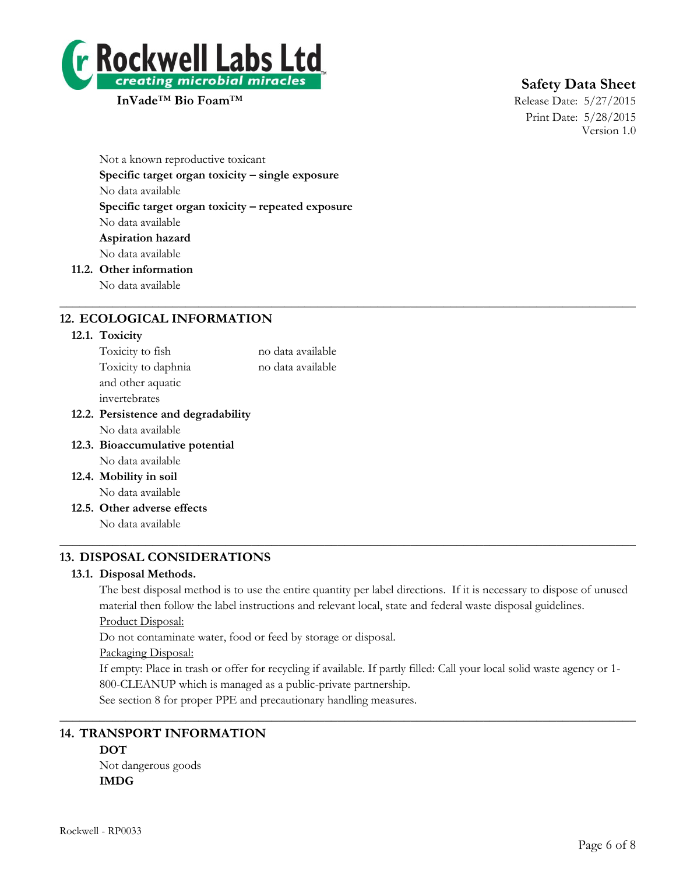

# **Safety Data Sheet**

Print Date: 5/28/2015 Version 1.0

Not a known reproductive toxicant **Specific target organ toxicity – single exposure** No data available **Specific target organ toxicity – repeated exposure** No data available **Aspiration hazard** No data available **11.2. Other information**

No data available

# **12. ECOLOGICAL INFORMATION**

#### **12.1. Toxicity**

| Toxicity to fish                    | no data available |
|-------------------------------------|-------------------|
| Toxicity to daphnia                 | no data available |
| and other aquatic                   |                   |
| invertebrates                       |                   |
| 12.2. Persistence and degradability |                   |
| No data available                   |                   |
| 12.3. Bioaccumulative potential     |                   |
| No data available                   |                   |
| 12.4. Mobility in soil              |                   |
| No data available                   |                   |
| 12.5. Other adverse effects         |                   |
| No data available                   |                   |
|                                     |                   |

# **13. DISPOSAL CONSIDERATIONS**

#### **13.1. Disposal Methods.**

The best disposal method is to use the entire quantity per label directions. If it is necessary to dispose of unused material then follow the label instructions and relevant local, state and federal waste disposal guidelines.

 $\_$  , and the set of the set of the set of the set of the set of the set of the set of the set of the set of the set of the set of the set of the set of the set of the set of the set of the set of the set of the set of th

Product Disposal:

Do not contaminate water, food or feed by storage or disposal.

#### Packaging Disposal:

If empty: Place in trash or offer for recycling if available. If partly filled: Call your local solid waste agency or 1- 800-CLEANUP which is managed as a public-private partnership.

 $\_$  , and the set of the set of the set of the set of the set of the set of the set of the set of the set of the set of the set of the set of the set of the set of the set of the set of the set of the set of the set of th

See section 8 for proper PPE and precautionary handling measures.

# **14. TRANSPORT INFORMATION**

# **DOT**

Not dangerous goods **IMDG**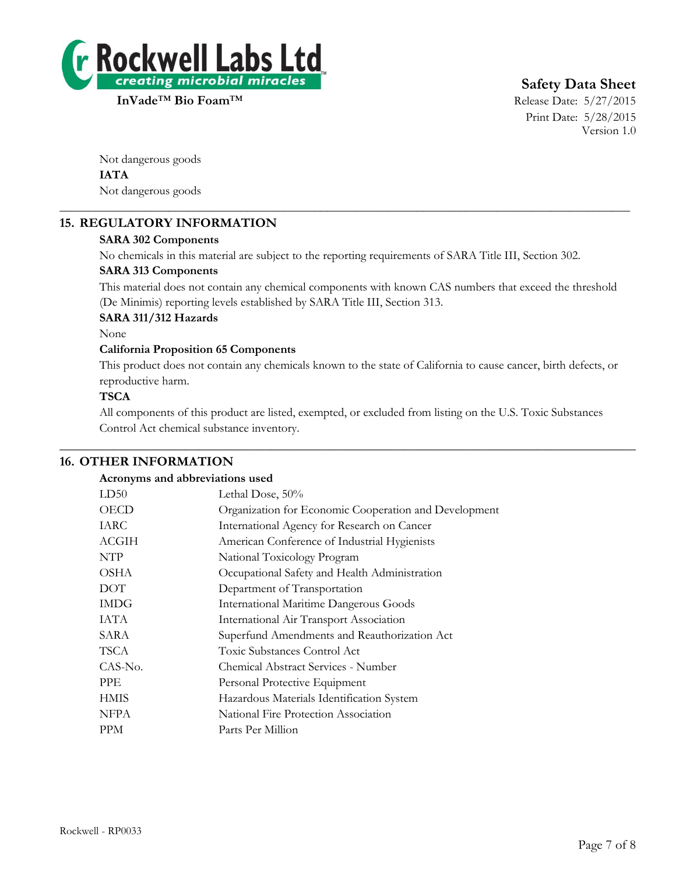

# **Safety Data Sheet**

Print Date: 5/28/2015 Version 1.0

Not dangerous goods **IATA** Not dangerous goods

# **15. REGULATORY INFORMATION**

### **SARA 302 Components**

No chemicals in this material are subject to the reporting requirements of SARA Title III, Section 302.

\_\_\_\_\_\_\_\_\_\_\_\_\_\_\_\_\_\_\_\_\_\_\_\_\_\_\_\_\_\_\_\_\_\_\_\_\_\_\_\_\_\_\_\_\_\_\_\_\_\_\_\_\_\_\_\_\_\_\_\_\_\_\_\_\_\_\_\_\_\_\_\_\_\_\_\_\_\_\_\_\_\_\_\_\_\_\_\_\_\_\_\_\_\_

#### **SARA 313 Components**

This material does not contain any chemical components with known CAS numbers that exceed the threshold (De Minimis) reporting levels established by SARA Title III, Section 313.

#### **SARA 311/312 Hazards**

None

#### **California Proposition 65 Components**

This product does not contain any chemicals known to the state of California to cause cancer, birth defects, or reproductive harm.

#### **TSCA**

All components of this product are listed, exempted, or excluded from listing on the U.S. Toxic Substances Control Act chemical substance inventory.

 $\_$  , and the set of the set of the set of the set of the set of the set of the set of the set of the set of the set of the set of the set of the set of the set of the set of the set of the set of the set of the set of th

### **16. OTHER INFORMATION**

#### **Acronyms and abbreviations used**

| LD50         | Lethal Dose, 50%                                      |
|--------------|-------------------------------------------------------|
| <b>OECD</b>  | Organization for Economic Cooperation and Development |
| IARC         | International Agency for Research on Cancer           |
| <b>ACGIH</b> | American Conference of Industrial Hygienists          |
| NTP          | National Toxicology Program                           |
| <b>OSHA</b>  | Occupational Safety and Health Administration         |
| <b>DOT</b>   | Department of Transportation                          |
| <b>IMDG</b>  | <b>International Maritime Dangerous Goods</b>         |
| IATA         | International Air Transport Association               |
| SARA         | Superfund Amendments and Reauthorization Act          |
| TSCA         | Toxic Substances Control Act                          |
| CAS-No.      | Chemical Abstract Services - Number                   |
| <b>PPE</b>   | Personal Protective Equipment                         |
| <b>HMIS</b>  | Hazardous Materials Identification System             |
| <b>NFPA</b>  | National Fire Protection Association                  |
| <b>PPM</b>   | Parts Per Million                                     |
|              |                                                       |